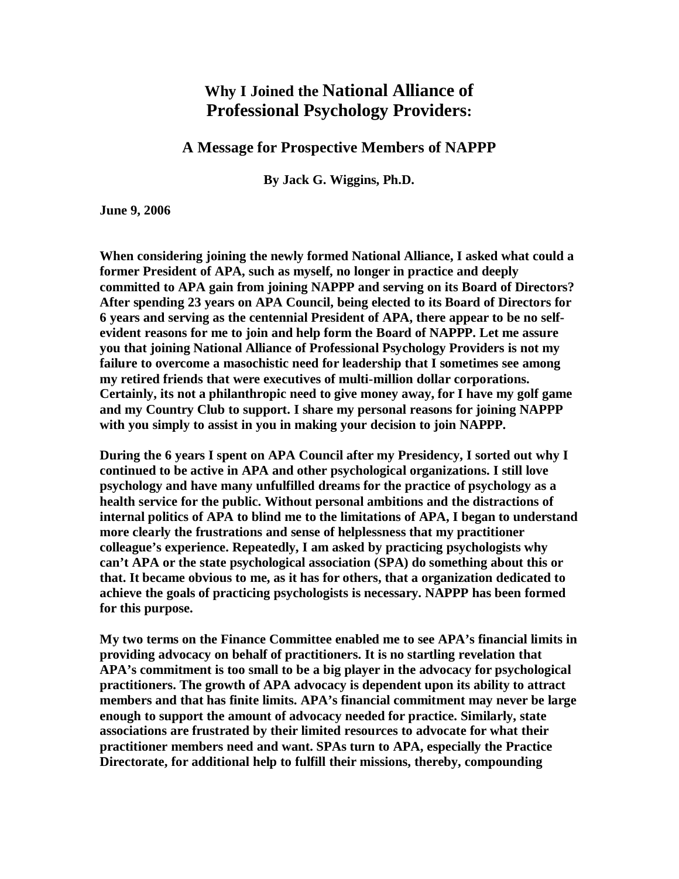## **Why I Joined the National Alliance of Professional Psychology Providers:**

## **A Message for Prospective Members of NAPPP**

**By Jack G. Wiggins, Ph.D.**

**June 9, 2006**

**When considering joining the newly formed National Alliance, I asked what could a former President of APA, such as myself, no longer in practice and deeply committed to APA gain from joining NAPPP and serving on its Board of Directors? After spending 23 years on APA Council, being elected to its Board of Directors for 6 years and serving as the centennial President of APA, there appear to be no selfevident reasons for me to join and help form the Board of NAPPP. Let me assure you that joining National Alliance of Professional Psychology Providers is not my failure to overcome a masochistic need for leadership that I sometimes see among my retired friends that were executives of multi-million dollar corporations. Certainly, its not a philanthropic need to give money away, for I have my golf game and my Country Club to support. I share my personal reasons for joining NAPPP with you simply to assist in you in making your decision to join NAPPP.**

**During the 6 years I spent on APA Council after my Presidency, I sorted out why I continued to be active in APA and other psychological organizations. I still love psychology and have many unfulfilled dreams for the practice of psychology as a health service for the public. Without personal ambitions and the distractions of internal politics of APA to blind me to the limitations of APA, I began to understand more clearly the frustrations and sense of helplessness that my practitioner colleague's experience. Repeatedly, I am asked by practicing psychologists why can't APA or the state psychological association (SPA) do something about this or that. It became obvious to me, as it has for others, that a organization dedicated to achieve the goals of practicing psychologists is necessary. NAPPP has been formed for this purpose.**

**My two terms on the Finance Committee enabled me to see APA's financial limits in providing advocacy on behalf of practitioners. It is no startling revelation that APA's commitment is too small to be a big player in the advocacy for psychological practitioners. The growth of APA advocacy is dependent upon its ability to attract members and that has finite limits. APA's financial commitment may never be large enough to support the amount of advocacy needed for practice. Similarly, state associations are frustrated by their limited resources to advocate for what their practitioner members need and want. SPAs turn to APA, especially the Practice Directorate, for additional help to fulfill their missions, thereby, compounding**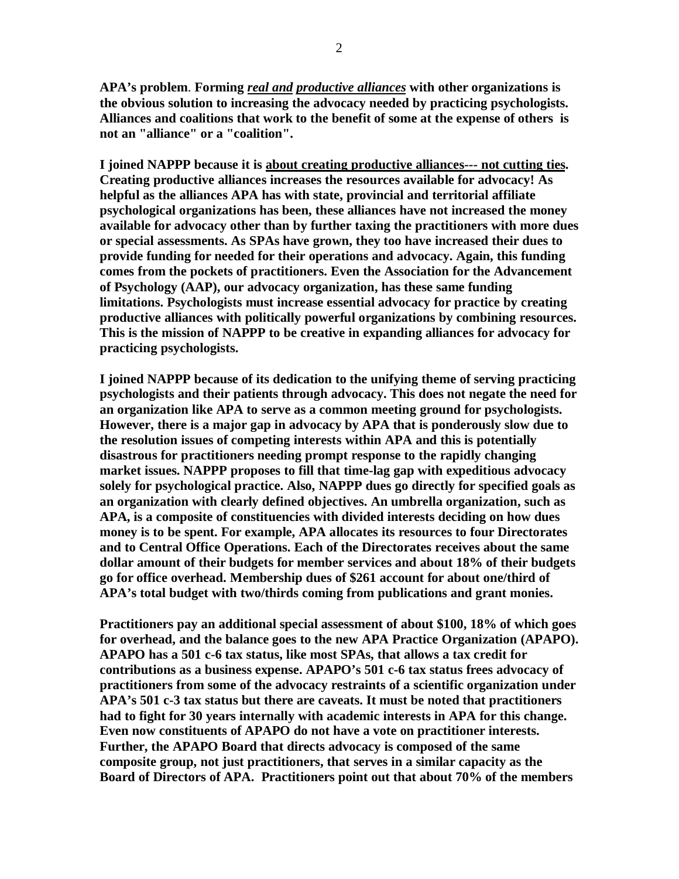**APA's problem**. **Forming** *real and productive alliances* **with other organizations is the obvious solution to increasing the advocacy needed by practicing psychologists. Alliances and coalitions that work to the benefit of some at the expense of others is not an "alliance" or a "coalition".**

**I joined NAPPP because it is about creating productive alliances--- not cutting ties. Creating productive alliances increases the resources available for advocacy! As helpful as the alliances APA has with state, provincial and territorial affiliate psychological organizations has been, these alliances have not increased the money available for advocacy other than by further taxing the practitioners with more dues or special assessments. As SPAs have grown, they too have increased their dues to provide funding for needed for their operations and advocacy. Again, this funding comes from the pockets of practitioners. Even the Association for the Advancement of Psychology (AAP), our advocacy organization, has these same funding limitations. Psychologists must increase essential advocacy for practice by creating productive alliances with politically powerful organizations by combining resources. This is the mission of NAPPP to be creative in expanding alliances for advocacy for practicing psychologists.**

**I joined NAPPP because of its dedication to the unifying theme of serving practicing psychologists and their patients through advocacy. This does not negate the need for an organization like APA to serve as a common meeting ground for psychologists. However, there is a major gap in advocacy by APA that is ponderously slow due to the resolution issues of competing interests within APA and this is potentially disastrous for practitioners needing prompt response to the rapidly changing market issues. NAPPP proposes to fill that time-lag gap with expeditious advocacy solely for psychological practice. Also, NAPPP dues go directly for specified goals as an organization with clearly defined objectives. An umbrella organization, such as APA, is a composite of constituencies with divided interests deciding on how dues money is to be spent. For example, APA allocates its resources to four Directorates and to Central Office Operations. Each of the Directorates receives about the same dollar amount of their budgets for member services and about 18% of their budgets go for office overhead. Membership dues of \$261 account for about one/third of APA's total budget with two/thirds coming from publications and grant monies.**

**Practitioners pay an additional special assessment of about \$100, 18% of which goes for overhead, and the balance goes to the new APA Practice Organization (APAPO). APAPO has a 501 c-6 tax status, like most SPAs, that allows a tax credit for contributions as a business expense. APAPO's 501 c-6 tax status frees advocacy of practitioners from some of the advocacy restraints of a scientific organization under APA's 501 c-3 tax status but there are caveats. It must be noted that practitioners had to fight for 30 years internally with academic interests in APA for this change. Even now constituents of APAPO do not have a vote on practitioner interests. Further, the APAPO Board that directs advocacy is composed of the same composite group, not just practitioners, that serves in a similar capacity as the Board of Directors of APA. Practitioners point out that about 70% of the members**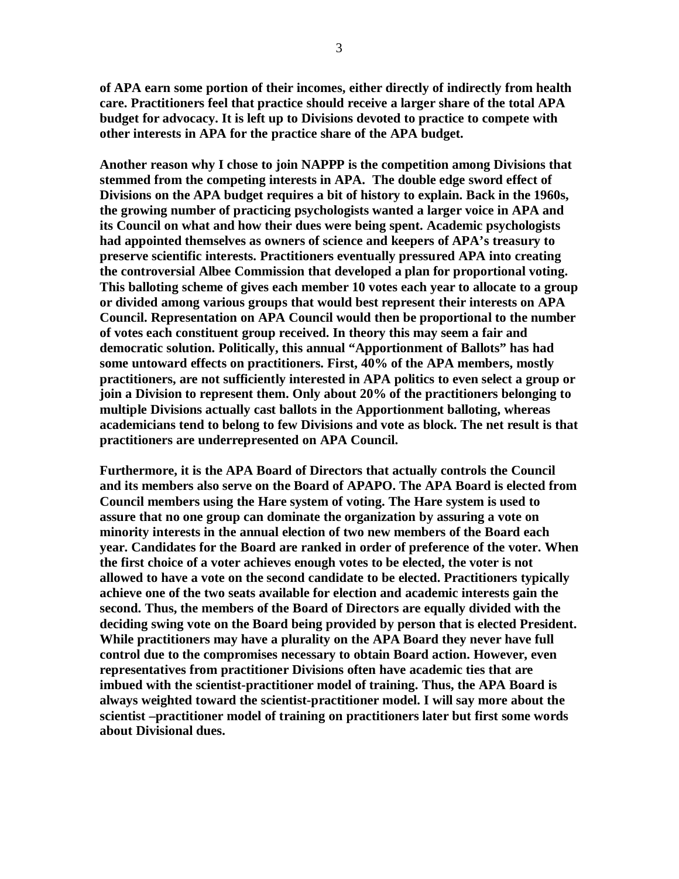**of APA earn some portion of their incomes, either directly of indirectly from health care. Practitioners feel that practice should receive a larger share of the total APA budget for advocacy. It is left up to Divisions devoted to practice to compete with other interests in APA for the practice share of the APA budget.**

**Another reason why I chose to join NAPPP is the competition among Divisions that stemmed from the competing interests in APA. The double edge sword effect of Divisions on the APA budget requires a bit of history to explain. Back in the 1960s, the growing number of practicing psychologists wanted a larger voice in APA and its Council on what and how their dues were being spent. Academic psychologists had appointed themselves as owners of science and keepers of APA's treasury to preserve scientific interests. Practitioners eventually pressured APA into creating the controversial Albee Commission that developed a plan for proportional voting. This balloting scheme of gives each member 10 votes each year to allocate to a group or divided among various groups that would best represent their interests on APA Council. Representation on APA Council would then be proportional to the number of votes each constituent group received. In theory this may seem a fair and democratic solution. Politically, this annual "Apportionment of Ballots" has had some untoward effects on practitioners. First, 40% of the APA members, mostly practitioners, are not sufficiently interested in APA politics to even select a group or join a Division to represent them. Only about 20% of the practitioners belonging to multiple Divisions actually cast ballots in the Apportionment balloting, whereas academicians tend to belong to few Divisions and vote as block. The net result is that practitioners are underrepresented on APA Council.**

**Furthermore, it is the APA Board of Directors that actually controls the Council and its members also serve on the Board of APAPO. The APA Board is elected from Council members using the Hare system of voting. The Hare system is used to assure that no one group can dominate the organization by assuring a vote on minority interests in the annual election of two new members of the Board each year. Candidates for the Board are ranked in order of preference of the voter. When the first choice of a voter achieves enough votes to be elected, the voter is not allowed to have a vote on the second candidate to be elected. Practitioners typically achieve one of the two seats available for election and academic interests gain the second. Thus, the members of the Board of Directors are equally divided with the deciding swing vote on the Board being provided by person that is elected President. While practitioners may have a plurality on the APA Board they never have full control due to the compromises necessary to obtain Board action. However, even representatives from practitioner Divisions often have academic ties that are imbued with the scientist-practitioner model of training. Thus, the APA Board is always weighted toward the scientist-practitioner model. I will say more about the scientist –practitioner model of training on practitioners later but first some words about Divisional dues.**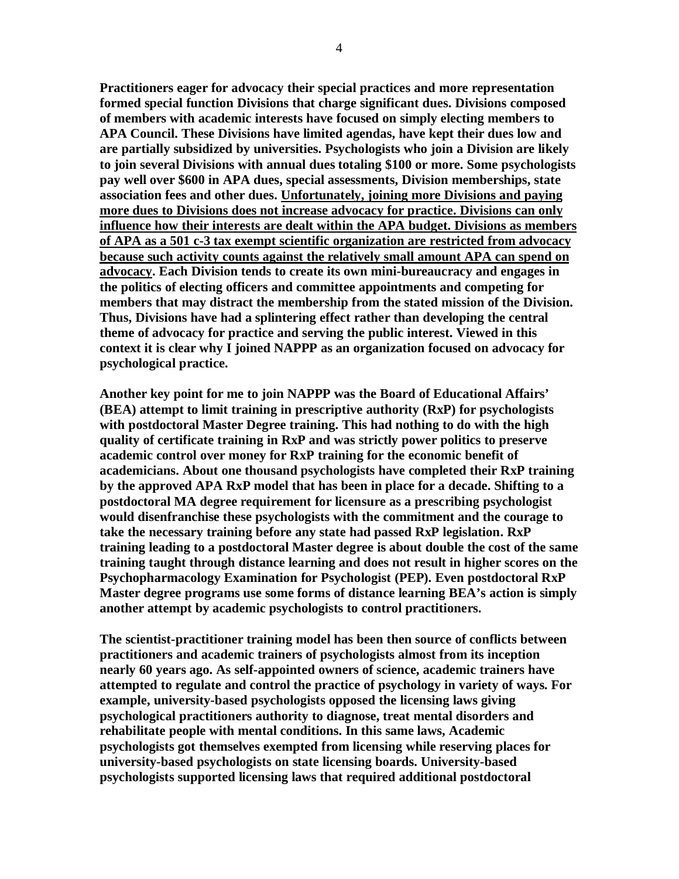**Practitioners eager for advocacy their special practices and more representation formed special function Divisions that charge significant dues. Divisions composed of members with academic interests have focused on simply electing members to APA Council. These Divisions have limited agendas, have kept their dues low and are partially subsidized by universities. Psychologists who join a Division are likely to join several Divisions with annual dues totaling \$100 or more. Some psychologists pay well over \$600 in APA dues, special assessments, Division memberships, state association fees and other dues. Unfortunately, joining more Divisions and paying more dues to Divisions does not increase advocacy for practice. Divisions can only influence how their interests are dealt within the APA budget. Divisions as members of APA as a 501 c-3 tax exempt scientific organization are restricted from advocacy because such activity counts against the relatively small amount APA can spend on advocacy. Each Division tends to create its own mini-bureaucracy and engages in the politics of electing officers and committee appointments and competing for members that may distract the membership from the stated mission of the Division. Thus, Divisions have had a splintering effect rather than developing the central theme of advocacy for practice and serving the public interest. Viewed in this context it is clear why I joined NAPPP as an organization focused on advocacy for psychological practice.**

**Another key point for me to join NAPPP was the Board of Educational Affairs' (BEA) attempt to limit training in prescriptive authority (RxP) for psychologists with postdoctoral Master Degree training. This had nothing to do with the high quality of certificate training in RxP and was strictly power politics to preserve academic control over money for RxP training for the economic benefit of academicians. About one thousand psychologists have completed their RxP training by the approved APA RxP model that has been in place for a decade. Shifting to a postdoctoral MA degree requirement for licensure as a prescribing psychologist would disenfranchise these psychologists with the commitment and the courage to take the necessary training before any state had passed RxP legislation. RxP training leading to a postdoctoral Master degree is about double the cost of the same training taught through distance learning and does not result in higher scores on the Psychopharmacology Examination for Psychologist (PEP). Even postdoctoral RxP Master degree programs use some forms of distance learning BEA's action is simply another attempt by academic psychologists to control practitioners.**

**The scientist-practitioner training model has been then source of conflicts between practitioners and academic trainers of psychologists almost from its inception nearly 60 years ago. As self-appointed owners of science, academic trainers have attempted to regulate and control the practice of psychology in variety of ways. For example, university-based psychologists opposed the licensing laws giving psychological practitioners authority to diagnose, treat mental disorders and rehabilitate people with mental conditions. In this same laws, Academic psychologists got themselves exempted from licensing while reserving places for university-based psychologists on state licensing boards. University-based psychologists supported licensing laws that required additional postdoctoral**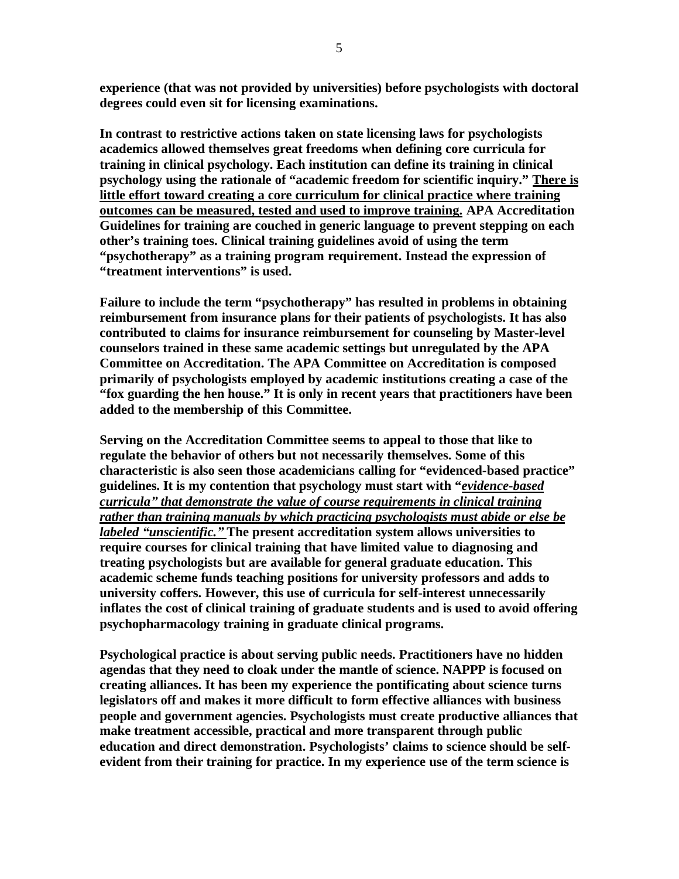**experience (that was not provided by universities) before psychologists with doctoral degrees could even sit for licensing examinations.**

**In contrast to restrictive actions taken on state licensing laws for psychologists academics allowed themselves great freedoms when defining core curricula for training in clinical psychology. Each institution can define its training in clinical psychology using the rationale of "academic freedom for scientific inquiry." There is little effort toward creating a core curriculum for clinical practice where training outcomes can be measured, tested and used to improve training. APA Accreditation Guidelines for training are couched in generic language to prevent stepping on each other's training toes. Clinical training guidelines avoid of using the term "psychotherapy" as a training program requirement. Instead the expression of "treatment interventions" is used.**

**Failure to include the term "psychotherapy" has resulted in problems in obtaining reimbursement from insurance plans for their patients of psychologists. It has also contributed to claims for insurance reimbursement for counseling by Master-level counselors trained in these same academic settings but unregulated by the APA Committee on Accreditation. The APA Committee on Accreditation is composed primarily of psychologists employed by academic institutions creating a case of the "fox guarding the hen house." It is only in recent years that practitioners have been added to the membership of this Committee.**

**Serving on the Accreditation Committee seems to appeal to those that like to regulate the behavior of others but not necessarily themselves. Some of this characteristic is also seen those academicians calling for "evidenced-based practice" guidelines. It is my contention that psychology must start with "***evidence-based curricula´ that demonstrate the value of course requirements in clinical training rather than training manuals by which practicing psychologists must abide or else be labeled ³unscientific.´* **The present accreditation system allows universities to require courses for clinical training that have limited value to diagnosing and treating psychologists but are available for general graduate education. This academic scheme funds teaching positions for university professors and adds to university coffers. However, this use of curricula for self-interest unnecessarily inflates the cost of clinical training of graduate students and is used to avoid offering psychopharmacology training in graduate clinical programs.**

**Psychological practice is about serving public needs. Practitioners have no hidden agendas that they need to cloak under the mantle of science. NAPPP is focused on creating alliances. It has been my experience the pontificating about science turns legislators off and makes it more difficult to form effective alliances with business people and government agencies. Psychologists must create productive alliances that make treatment accessible, practical and more transparent through public education and direct demonstration. Psychologists' claims to science should be selfevident from their training for practice. In my experience use of the term science is**